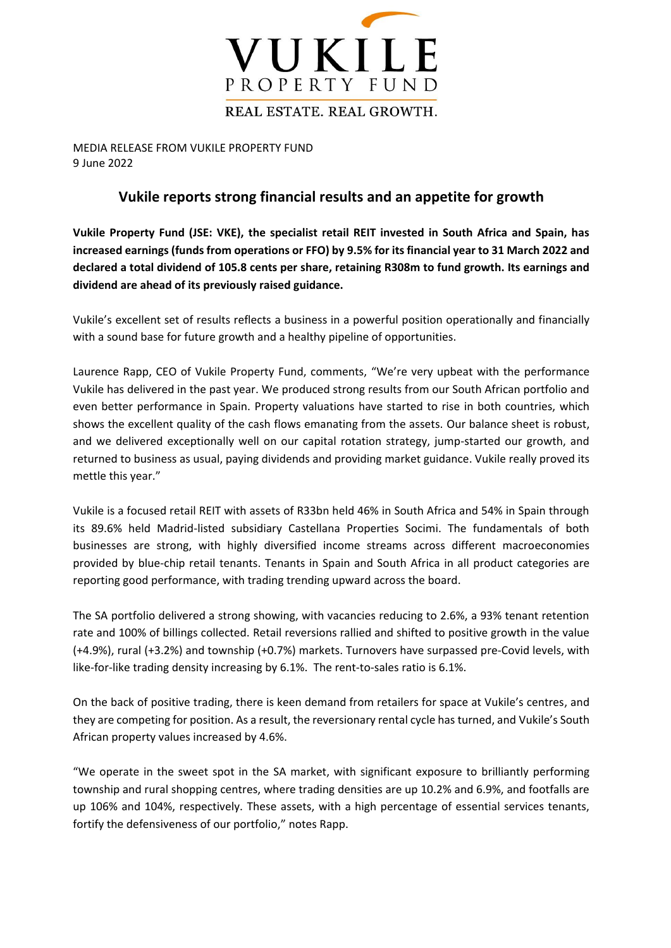

MEDIA RELEASE FROM VUKILE PROPERTY FUND 9 June 2022

## **Vukile reports strong financial results and an appetite for growth**

**Vukile Property Fund (JSE: VKE), the specialist retail REIT invested in South Africa and Spain, has increased earnings (funds from operations or FFO) by 9.5% for its financial year to 31 March 2022 and declared a total dividend of 105.8 cents per share, retaining R308m to fund growth. Its earnings and dividend are ahead of its previously raised guidance.**

Vukile's excellent set of results reflects a business in a powerful position operationally and financially with a sound base for future growth and a healthy pipeline of opportunities.

Laurence Rapp, CEO of Vukile Property Fund, comments, "We're very upbeat with the performance Vukile has delivered in the past year. We produced strong results from our South African portfolio and even better performance in Spain. Property valuations have started to rise in both countries, which shows the excellent quality of the cash flows emanating from the assets. Our balance sheet is robust, and we delivered exceptionally well on our capital rotation strategy, jump-started our growth, and returned to business as usual, paying dividends and providing market guidance. Vukile really proved its mettle this year."

Vukile is a focused retail REIT with assets of R33bn held 46% in South Africa and 54% in Spain through its 89.6% held Madrid-listed subsidiary Castellana Properties Socimi. The fundamentals of both businesses are strong, with highly diversified income streams across different macroeconomies provided by blue-chip retail tenants. Tenants in Spain and South Africa in all product categories are reporting good performance, with trading trending upward across the board.

The SA portfolio delivered a strong showing, with vacancies reducing to 2.6%, a 93% tenant retention rate and 100% of billings collected. Retail reversions rallied and shifted to positive growth in the value (+4.9%), rural (+3.2%) and township (+0.7%) markets. Turnovers have surpassed pre-Covid levels, with like-for-like trading density increasing by 6.1%. The rent-to-sales ratio is 6.1%.

On the back of positive trading, there is keen demand from retailers for space at Vukile's centres, and they are competing for position. As a result, the reversionary rental cycle has turned, and Vukile's South African property values increased by 4.6%.

"We operate in the sweet spot in the SA market, with significant exposure to brilliantly performing township and rural shopping centres, where trading densities are up 10.2% and 6.9%, and footfalls are up 106% and 104%, respectively. These assets, with a high percentage of essential services tenants, fortify the defensiveness of our portfolio," notes Rapp.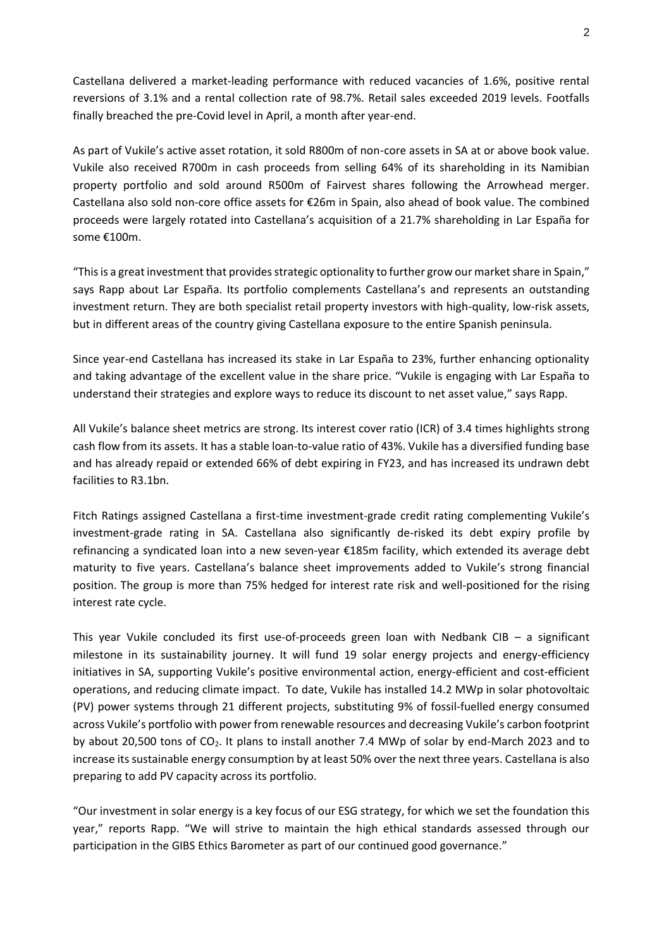Castellana delivered a market-leading performance with reduced vacancies of 1.6%, positive rental reversions of 3.1% and a rental collection rate of 98.7%. Retail sales exceeded 2019 levels. Footfalls finally breached the pre-Covid level in April, a month after year-end.

As part of Vukile's active asset rotation, it sold R800m of non-core assets in SA at or above book value. Vukile also received R700m in cash proceeds from selling 64% of its shareholding in its Namibian property portfolio and sold around R500m of Fairvest shares following the Arrowhead merger. Castellana also sold non-core office assets for €26m in Spain, also ahead of book value. The combined proceeds were largely rotated into Castellana's acquisition of a 21.7% shareholding in Lar España for some €100m.

"This is a great investment that provides strategic optionality to further grow our market share in Spain," says Rapp about Lar España. Its portfolio complements Castellana's and represents an outstanding investment return. They are both specialist retail property investors with high-quality, low-risk assets, but in different areas of the country giving Castellana exposure to the entire Spanish peninsula.

Since year-end Castellana has increased its stake in Lar España to 23%, further enhancing optionality and taking advantage of the excellent value in the share price. "Vukile is engaging with Lar España to understand their strategies and explore ways to reduce its discount to net asset value," says Rapp.

All Vukile's balance sheet metrics are strong. Its interest cover ratio (ICR) of 3.4 times highlights strong cash flow from its assets. It has a stable loan-to-value ratio of 43%. Vukile has a diversified funding base and has already repaid or extended 66% of debt expiring in FY23, and has increased its undrawn debt facilities to R3.1bn.

Fitch Ratings assigned Castellana a first-time investment-grade credit rating complementing Vukile's investment-grade rating in SA. Castellana also significantly de-risked its debt expiry profile by refinancing a syndicated loan into a new seven-year €185m facility, which extended its average debt maturity to five years. Castellana's balance sheet improvements added to Vukile's strong financial position. The group is more than 75% hedged for interest rate risk and well-positioned for the rising interest rate cycle.

This year Vukile concluded its first use-of-proceeds green loan with Nedbank CIB – a significant milestone in its sustainability journey. It will fund 19 solar energy projects and energy-efficiency initiatives in SA, supporting Vukile's positive environmental action, energy-efficient and cost-efficient operations, and reducing climate impact. To date, Vukile has installed 14.2 MWp in solar photovoltaic (PV) power systems through 21 different projects, substituting 9% of fossil-fuelled energy consumed across Vukile's portfolio with power from renewable resources and decreasing Vukile's carbon footprint by about 20,500 tons of  $CO<sub>2</sub>$ . It plans to install another 7.4 MWp of solar by end-March 2023 and to increase its sustainable energy consumption by at least 50% over the next three years. Castellana is also preparing to add PV capacity across its portfolio.

"Our investment in solar energy is a key focus of our ESG strategy, for which we set the foundation this year," reports Rapp. "We will strive to maintain the high ethical standards assessed through our participation in the GIBS Ethics Barometer as part of our continued good governance."